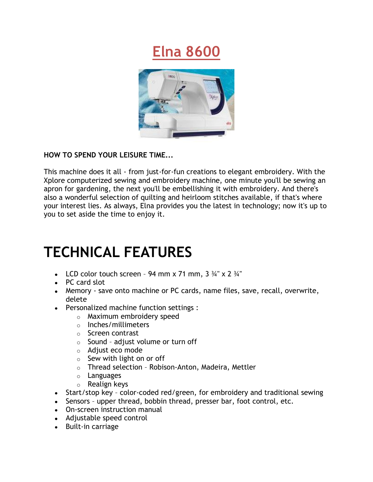## **Elna 8600**



#### **HOW TO SPEND YOUR LEISURE TIME...**

This machine does it all - from just-for-fun creations to elegant embroidery. With the Xplore computerized sewing and embroidery machine, one minute you'll be sewing an apron for gardening, the next you'll be embellishing it with embroidery. And there's also a wonderful selection of quilting and heirloom stitches available, if that's where your interest lies. As always, Elna provides you the latest in technology; now it's up to you to set aside the time to enjoy it.

# **TECHNICAL FEATURES**

- LCD color touch screen 94 mm x 71 mm,  $3\frac{3}{4}$ " x 2  $\frac{3}{4}$ "
- PC card slot
- Memory save onto machine or PC cards, name files, save, recall, overwrite, delete
- Personalized machine function settings :
	- o Maximum embroidery speed
	- o Inches/millimeters
	- o Screen contrast
	- o Sound adjust volume or turn off
	- o Adjust eco mode
	- $\circ$  Sew with light on or off
	- o Thread selection Robison-Anton, Madeira, Mettler
	- o Languages
	- o Realign keys
- Start/stop key color-coded red/green, for embroidery and traditional sewing
- Sensors upper thread, bobbin thread, presser bar, foot control, etc.
- On-screen instruction manual
- Adjustable speed control
- Built-in carriage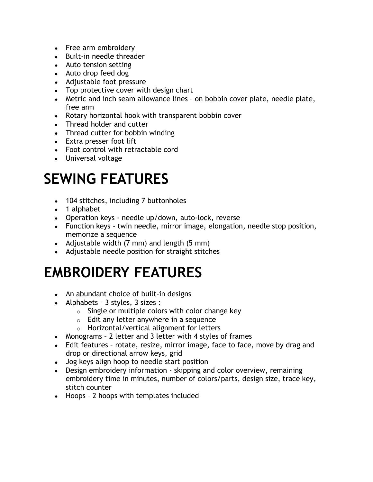- Free arm embroidery
- Built-in needle threader
- Auto tension setting
- Auto drop feed dog
- Adjustable foot pressure
- Top protective cover with design chart
- Metric and inch seam allowance lines on bobbin cover plate, needle plate, free arm
- Rotary horizontal hook with transparent bobbin cover
- Thread holder and cutter
- Thread cutter for bobbin winding
- Extra presser foot lift
- Foot control with retractable cord
- Universal voltage

### **SEWING FEATURES**

- 104 stitches, including 7 buttonholes
- 1 alphabet
- Operation keys needle up/down, auto-lock, reverse
- Function keys twin needle, mirror image, elongation, needle stop position, memorize a sequence
- Adjustable width  $(7 \text{ mm})$  and length  $(5 \text{ mm})$
- Adjustable needle position for straight stitches

# **EMBROIDERY FEATURES**

- An abundant choice of built-in designs
- Alphabets 3 styles, 3 sizes :
	- $\circ$  Single or multiple colors with color change key
	- o Edit any letter anywhere in a sequence
	- o Horizontal/vertical alignment for letters
- Monograms 2 letter and 3 letter with 4 styles of frames
- Edit features rotate, resize, mirror image, face to face, move by drag and drop or directional arrow keys, grid
- Jog keys align hoop to needle start position
- Design embroidery information skipping and color overview, remaining embroidery time in minutes, number of colors/parts, design size, trace key, stitch counter
- Hoops 2 hoops with templates included